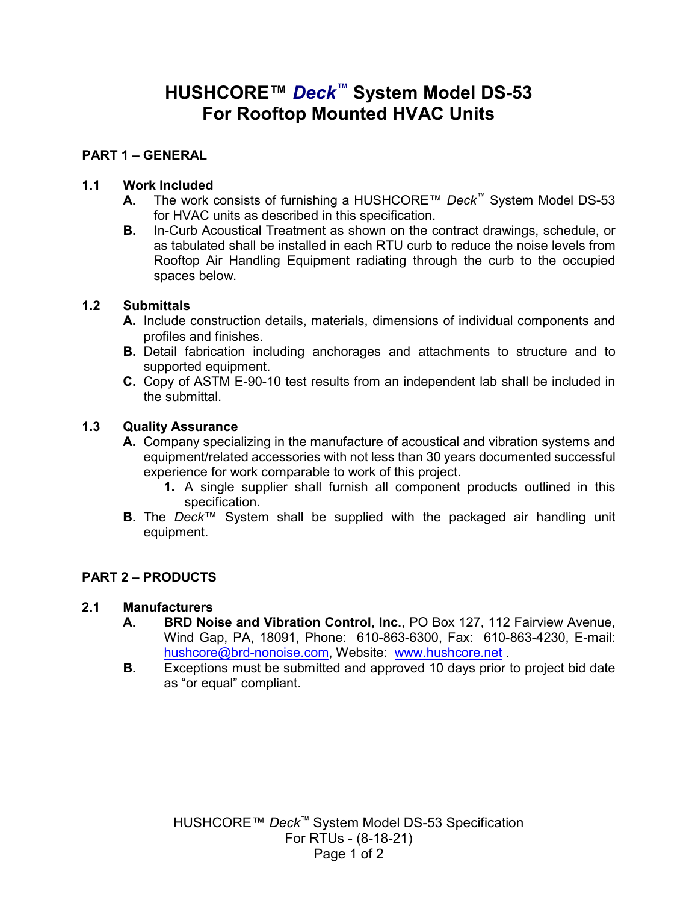# **HUSHCORE™** *Deck™* **System Model DS-53 For Rooftop Mounted HVAC Units**

### **PART 1 – GENERAL**

#### **1.1 Work Included**

- **A.** The work consists of furnishing a HUSHCORE™ *Deck™* System Model DS-53 for HVAC units as described in this specification.
- **B.** In-Curb Acoustical Treatment as shown on the contract drawings, schedule, or as tabulated shall be installed in each RTU curb to reduce the noise levels from Rooftop Air Handling Equipment radiating through the curb to the occupied spaces below.

#### **1.2 Submittals**

- **A.** Include construction details, materials, dimensions of individual components and profiles and finishes.
- **B.** Detail fabrication including anchorages and attachments to structure and to supported equipment.
- **C.** Copy of ASTM E-90-10 test results from an independent lab shall be included in the submittal.

#### **1.3 Quality Assurance**

- **A.** Company specializing in the manufacture of acoustical and vibration systems and equipment/related accessories with not less than 30 years documented successful experience for work comparable to work of this project.
	- **1.** A single supplier shall furnish all component products outlined in this specification.
- **B.** The *Deck*™ System shall be supplied with the packaged air handling unit equipment.

## **PART 2 – PRODUCTS**

#### **2.1 Manufacturers**

- **A. BRD Noise and Vibration Control, Inc.**, PO Box 127, 112 Fairview Avenue, Wind Gap, PA, 18091, Phone: 610-863-6300, Fax: 610-863-4230, E-mail: [hushcore@brd-nonoise.com,](mailto:hushcore@brd-nonoise.com) Website: [www.hushcore.net](http://www.hushcore.net/)
- **B.** Exceptions must be submitted and approved 10 days prior to project bid date as "or equal" compliant.